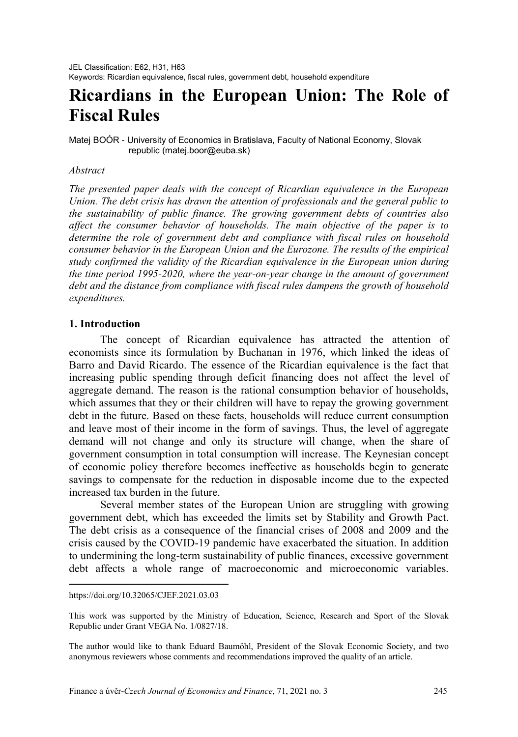# **Ricardians in the European Union: The Role of Fiscal Rules**

Matej BOÓR - University of Economics in Bratislava, Faculty of National Economy, Slovak republic (matej.boor@euba.sk)

## *Abstract[1](#page-0-0)*

*The presented paper deals with the concept of Ricardian equivalence in the European Union. The debt crisis has drawn the attention of professionals and the general public to the sustainability of public finance. The growing government debts of countries also affect the consumer behavior of households. The main objective of the paper is to determine the role of government debt and compliance with fiscal rules on household consumer behavior in the European Union and the Eurozone. The results of the empirical study confirmed the validity of the Ricardian equivalence in the European union during the time period 1995-2020, where the year-on-year change in the amount of government debt and the distance from compliance with fiscal rules dampens the growth of household expenditures.* 

# **1. Introduction**

The concept of Ricardian equivalence has attracted the attention of economists since its formulation by Buchanan in 1976, which linked the ideas of Barro and David Ricardo. The essence of the Ricardian equivalence is the fact that increasing public spending through deficit financing does not affect the level of aggregate demand. The reason is the rational consumption behavior of households, which assumes that they or their children will have to repay the growing government debt in the future. Based on these facts, households will reduce current consumption and leave most of their income in the form of savings. Thus, the level of aggregate demand will not change and only its structure will change, when the share of government consumption in total consumption will increase. The Keynesian concept of economic policy therefore becomes ineffective as households begin to generate savings to compensate for the reduction in disposable income due to the expected increased tax burden in the future.

Several member states of the European Union are struggling with growing government debt, which has exceeded the limits set by Stability and Growth Pact. The debt crisis as a consequence of the financial crises of 2008 and 2009 and the crisis caused by the COVID-19 pandemic have exacerbated the situation. In addition to undermining the long-term sustainability of public finances, excessive government debt affects a whole range of macroeconomic and microeconomic variables.

 $\overline{a}$ 

<span id="page-0-0"></span>https://doi.org/10.32065/CJEF.2021.03.03

This work was supported by the Ministry of Education, Science, Research and Sport of the Slovak Republic under Grant VEGA No. 1/0827/18.

The author would like to thank Eduard Baumöhl, President of the Slovak Economic Society, and two anonymous reviewers whose comments and recommendations improved the quality of an article.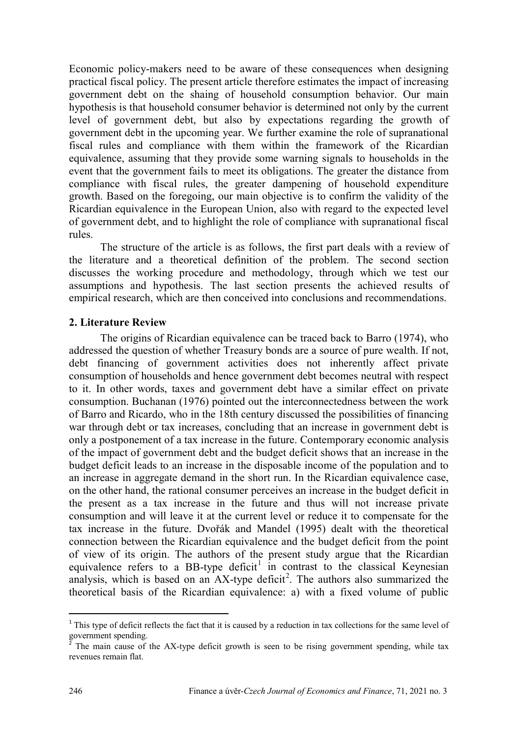Economic policy-makers need to be aware of these consequences when designing practical fiscal policy. The present article therefore estimates the impact of increasing government debt on the shaing of household consumption behavior. Our main hypothesis is that household consumer behavior is determined not only by the current level of government debt, but also by expectations regarding the growth of government debt in the upcoming year. We further examine the role of supranational fiscal rules and compliance with them within the framework of the Ricardian equivalence, assuming that they provide some warning signals to households in the event that the government fails to meet its obligations. The greater the distance from compliance with fiscal rules, the greater dampening of household expenditure growth. Based on the foregoing, our main objective is to confirm the validity of the Ricardian equivalence in the European Union, also with regard to the expected level of government debt, and to highlight the role of compliance with supranational fiscal rules.

The structure of the article is as follows, the first part deals with a review of the literature and a theoretical definition of the problem. The second section discusses the working procedure and methodology, through which we test our assumptions and hypothesis. The last section presents the achieved results of empirical research, which are then conceived into conclusions and recommendations.

## **2. Literature Review**

The origins of Ricardian equivalence can be traced back to Barro (1974), who addressed the question of whether Treasury bonds are a source of pure wealth. If not, debt financing of government activities does not inherently affect private consumption of households and hence government debt becomes neutral with respect to it. In other words, taxes and government debt have a similar effect on private consumption. Buchanan (1976) pointed out the interconnectedness between the work of Barro and Ricardo, who in the 18th century discussed the possibilities of financing war through debt or tax increases, concluding that an increase in government debt is only a postponement of a tax increase in the future. Contemporary economic analysis of the impact of government debt and the budget deficit shows that an increase in the budget deficit leads to an increase in the disposable income of the population and to an increase in aggregate demand in the short run. In the Ricardian equivalence case, on the other hand, the rational consumer perceives an increase in the budget deficit in the present as a tax increase in the future and thus will not increase private consumption and will leave it at the current level or reduce it to compensate for the tax increase in the future. Dvořák and Mandel (1995) dealt with the theoretical connection between the Ricardian equivalence and the budget deficit from the point of view of its origin. The authors of the present study argue that the Ricardian equivalence refers to a BB-type deficit<sup>[1](#page-1-0)</sup> in contrast to the classical Keynesian analysis, which is based on an  $AX$ -type deficit<sup>[2](#page-1-1)</sup>. The authors also summarized the theoretical basis of the Ricardian equivalence: a) with a fixed volume of public

<span id="page-1-0"></span><sup>&</sup>lt;sup>1</sup> This type of deficit reflects the fact that it is caused by a reduction in tax collections for the same level of government spending.

<span id="page-1-1"></span>The main cause of the AX-type deficit growth is seen to be rising government spending, while tax revenues remain flat.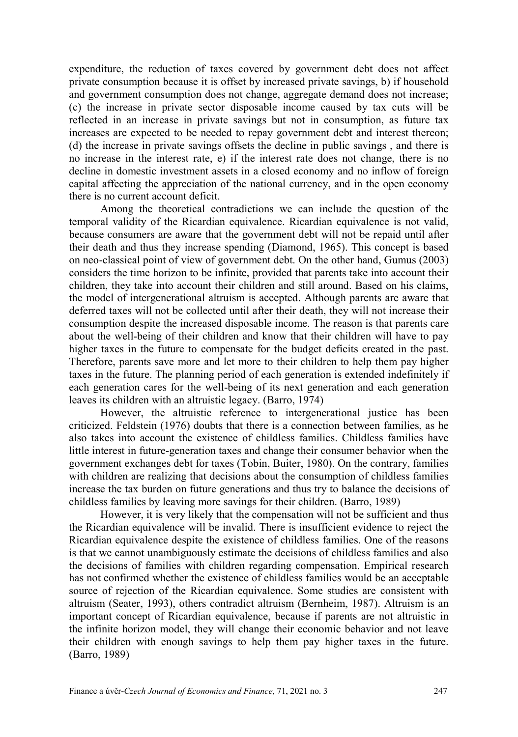expenditure, the reduction of taxes covered by government debt does not affect private consumption because it is offset by increased private savings, b) if household and government consumption does not change, aggregate demand does not increase; (c) the increase in private sector disposable income caused by tax cuts will be reflected in an increase in private savings but not in consumption, as future tax increases are expected to be needed to repay government debt and interest thereon; (d) the increase in private savings offsets the decline in public savings , and there is no increase in the interest rate, e) if the interest rate does not change, there is no decline in domestic investment assets in a closed economy and no inflow of foreign capital affecting the appreciation of the national currency, and in the open economy there is no current account deficit.

Among the theoretical contradictions we can include the question of the temporal validity of the Ricardian equivalence. Ricardian equivalence is not valid, because consumers are aware that the government debt will not be repaid until after their death and thus they increase spending (Diamond, 1965). This concept is based on neo-classical point of view of government debt. On the other hand, Gumus (2003) considers the time horizon to be infinite, provided that parents take into account their children, they take into account their children and still around. Based on his claims, the model of intergenerational altruism is accepted. Although parents are aware that deferred taxes will not be collected until after their death, they will not increase their consumption despite the increased disposable income. The reason is that parents care about the well-being of their children and know that their children will have to pay higher taxes in the future to compensate for the budget deficits created in the past. Therefore, parents save more and let more to their children to help them pay higher taxes in the future. The planning period of each generation is extended indefinitely if each generation cares for the well-being of its next generation and each generation leaves its children with an altruistic legacy. (Barro, 1974)

However, the altruistic reference to intergenerational justice has been criticized. Feldstein (1976) doubts that there is a connection between families, as he also takes into account the existence of childless families. Childless families have little interest in future-generation taxes and change their consumer behavior when the government exchanges debt for taxes (Tobin, Buiter, 1980). On the contrary, families with children are realizing that decisions about the consumption of childless families increase the tax burden on future generations and thus try to balance the decisions of childless families by leaving more savings for their children. (Barro, 1989)

However, it is very likely that the compensation will not be sufficient and thus the Ricardian equivalence will be invalid. There is insufficient evidence to reject the Ricardian equivalence despite the existence of childless families. One of the reasons is that we cannot unambiguously estimate the decisions of childless families and also the decisions of families with children regarding compensation. Empirical research has not confirmed whether the existence of childless families would be an acceptable source of rejection of the Ricardian equivalence. Some studies are consistent with altruism (Seater, 1993), others contradict altruism (Bernheim, 1987). Altruism is an important concept of Ricardian equivalence, because if parents are not altruistic in the infinite horizon model, they will change their economic behavior and not leave their children with enough savings to help them pay higher taxes in the future. (Barro, 1989)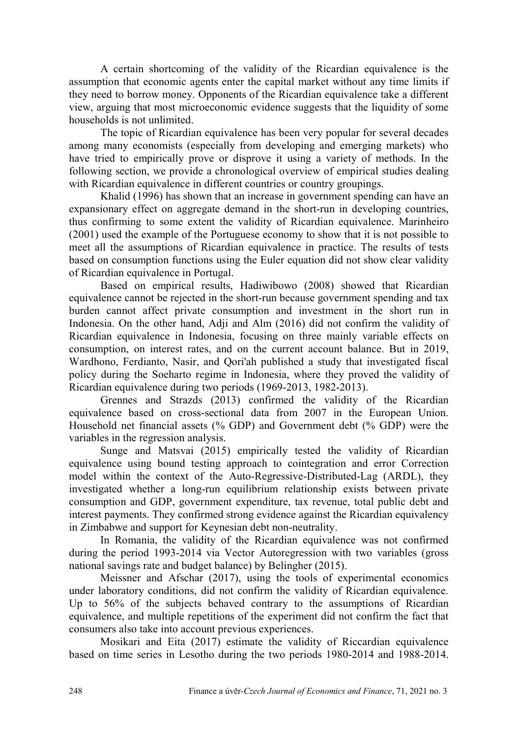A certain shortcoming of the validity of the Ricardian equivalence is the assumption that economic agents enter the capital market without any time limits if they need to borrow money. Opponents of the Ricardian equivalence take a different view, arguing that most microeconomic evidence suggests that the liquidity of some households is not unlimited.

The topic of Ricardian equivalence has been very popular for several decades among many economists (especially from developing and emerging markets) who have tried to empirically prove or disprove it using a variety of methods. In the following section, we provide a chronological overview of empirical studies dealing with Ricardian equivalence in different countries or country groupings.

Khalid (1996) has shown that an increase in government spending can have an expansionary effect on aggregate demand in the short-run in developing countries, thus confirming to some extent the validity of Ricardian equivalence. Marinheiro (2001) used the example of the Portuguese economy to show that it is not possible to meet all the assumptions of Ricardian equivalence in practice. The results of tests based on consumption functions using the Euler equation did not show clear validity of Ricardian equivalence in Portugal.

Based on empirical results, Hadiwibowo (2008) showed that Ricardian equivalence cannot be rejected in the short-run because government spending and tax burden cannot affect private consumption and investment in the short run in Indonesia. On the other hand, Adji and Alm (2016) did not confirm the validity of Ricardian equivalence in Indonesia, focusing on three mainly variable effects on consumption, on interest rates, and on the current account balance. But in 2019, Wardhono, Ferdianto, Nasir, and Qori'ah published a study that investigated fiscal policy during the Soeharto regime in Indonesia, where they proved the validity of Ricardian equivalence during two periods (1969-2013, 1982-2013).

Grennes and Strazds (2013) confirmed the validity of the Ricardian equivalence based on cross-sectional data from 2007 in the European Union. Household net financial assets (% GDP) and Government debt (% GDP) were the variables in the regression analysis.

Sunge and Matsvai (2015) empirically tested the validity of Ricardian equivalence using bound testing approach to cointegration and error Correction model within the context of the Auto-Regressive-Distributed-Lag (ARDL), they investigated whether a long-run equilibrium relationship exists between private consumption and GDP, government expenditure, tax revenue, total public debt and interest payments. They confirmed strong evidence against the Ricardian equivalency in Zimbabwe and support for Keynesian debt non-neutrality.

In Romania, the validity of the Ricardian equivalence was not confirmed during the period 1993-2014 via Vector Autoregression with two variables (gross national savings rate and budget balance) by Belingher (2015).

Meissner and Afschar (2017), using the tools of experimental economics under laboratory conditions, did not confirm the validity of Ricardian equivalence. Up to 56% of the subjects behaved contrary to the assumptions of Ricardian equivalence, and multiple repetitions of the experiment did not confirm the fact that consumers also take into account previous experiences.

Mosikari and Eita (2017) estimate the validity of Riccardian equivalence based on time series in Lesotho during the two periods 1980-2014 and 1988-2014.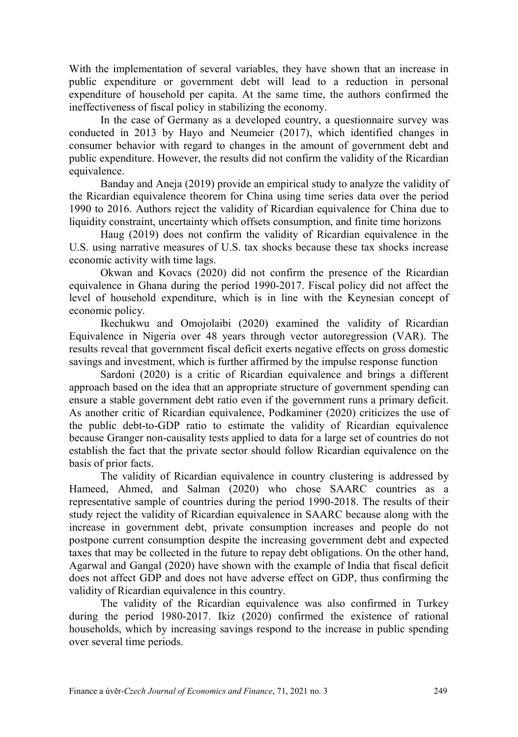With the implementation of several variables, they have shown that an increase in public expenditure or government debt will lead to a reduction in personal expenditure of household per capita. At the same time, the authors confirmed the ineffectiveness of fiscal policy in stabilizing the economy.

In the case of Germany as a developed country, a questionnaire survey was conducted in 2013 by Hayo and Neumeier (2017), which identified changes in consumer behavior with regard to changes in the amount of government debt and public expenditure. However, the results did not confirm the validity of the Ricardian equivalence.

Banday and Aneja (2019) provide an empirical study to analyze the validity of the Ricardian equivalence theorem for China using time series data over the period 1990 to 2016. Authors reject the validity of Ricardian equivalence for China due to liquidity constraint, uncertainty which offsets consumption, and finite time horizons

Haug (2019) does not confirm the validity of Ricardian equivalence in the U.S. using narrative measures of U.S. tax shocks because these tax shocks increase economic activity with time lags.

Okwan and Kovacs (2020) did not confirm the presence of the Ricardian equivalence in Ghana during the period 1990-2017. Fiscal policy did not affect the level of household expenditure, which is in line with the Keynesian concept of economic policy.

Ikechukwu and Omojolaibi (2020) examined the validity of Ricardian Equivalence in Nigeria over 48 years through vector autoregression (VAR). The results reveal that government fiscal deficit exerts negative effects on gross domestic savings and investment, which is further affirmed by the impulse response function

Sardoni (2020) is a critic of Ricardian equivalence and brings a different approach based on the idea that an appropriate structure of government spending can ensure a stable government debt ratio even if the government runs a primary deficit. As another critic of Ricardian equivalence, Podkaminer (2020) criticizes the use of the public debt-to-GDP ratio to estimate the validity of Ricardian equivalence because Granger non-causality tests applied to data for a large set of countries do not establish the fact that the private sector should follow Ricardian equivalence on the basis of prior facts.

The validity of Ricardian equivalence in country clustering is addressed by Hameed, Ahmed, and Salman (2020) who chose SAARC countries as a representative sample of countries during the period 1990-2018. The results of their study reject the validity of Ricardian equivalence in SAARC because along with the increase in government debt, private consumption increases and people do not postpone current consumption despite the increasing government debt and expected taxes that may be collected in the future to repay debt obligations. On the other hand, Agarwal and Gangal (2020) have shown with the example of India that fiscal deficit does not affect GDP and does not have adverse effect on GDP, thus confirming the validity of Ricardian equivalence in this country.

The validity of the Ricardian equivalence was also confirmed in Turkey during the period 1980-2017. Ikiz (2020) confirmed the existence of rational households, which by increasing savings respond to the increase in public spending over several time periods.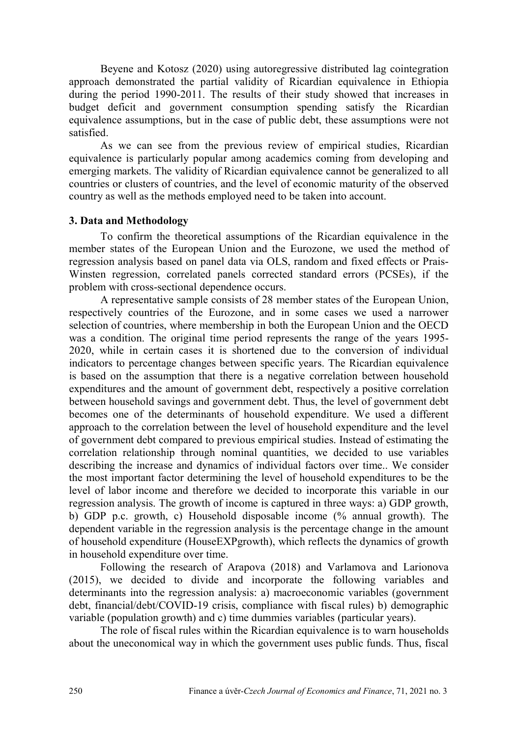Beyene and Kotosz (2020) using autoregressive distributed lag cointegration approach demonstrated the partial validity of Ricardian equivalence in Ethiopia during the period 1990-2011. The results of their study showed that increases in budget deficit and government consumption spending satisfy the Ricardian equivalence assumptions, but in the case of public debt, these assumptions were not satisfied.

As we can see from the previous review of empirical studies, Ricardian equivalence is particularly popular among academics coming from developing and emerging markets. The validity of Ricardian equivalence cannot be generalized to all countries or clusters of countries, and the level of economic maturity of the observed country as well as the methods employed need to be taken into account.

## **3. Data and Methodology**

To confirm the theoretical assumptions of the Ricardian equivalence in the member states of the European Union and the Eurozone, we used the method of regression analysis based on panel data via OLS, random and fixed effects or Prais-Winsten regression, correlated panels corrected standard errors (PCSEs), if the problem with cross-sectional dependence occurs.

A representative sample consists of 28 member states of the European Union, respectively countries of the Eurozone, and in some cases we used a narrower selection of countries, where membership in both the European Union and the OECD was a condition. The original time period represents the range of the years 1995- 2020, while in certain cases it is shortened due to the conversion of individual indicators to percentage changes between specific years. The Ricardian equivalence is based on the assumption that there is a negative correlation between household expenditures and the amount of government debt, respectively a positive correlation between household savings and government debt. Thus, the level of government debt becomes one of the determinants of household expenditure. We used a different approach to the correlation between the level of household expenditure and the level of government debt compared to previous empirical studies. Instead of estimating the correlation relationship through nominal quantities, we decided to use variables describing the increase and dynamics of individual factors over time.. We consider the most important factor determining the level of household expenditures to be the level of labor income and therefore we decided to incorporate this variable in our regression analysis. The growth of income is captured in three ways: a) GDP growth, b) GDP p.c. growth, c) Household disposable income (% annual growth). The dependent variable in the regression analysis is the percentage change in the amount of household expenditure (HouseEXPgrowth), which reflects the dynamics of growth in household expenditure over time.

Following the research of Arapova (2018) and Varlamova and Larionova (2015), we decided to divide and incorporate the following variables and determinants into the regression analysis: a) macroeconomic variables (government debt, financial/debt/COVID-19 crisis, compliance with fiscal rules) b) demographic variable (population growth) and c) time dummies variables (particular years).

The role of fiscal rules within the Ricardian equivalence is to warn households about the uneconomical way in which the government uses public funds. Thus, fiscal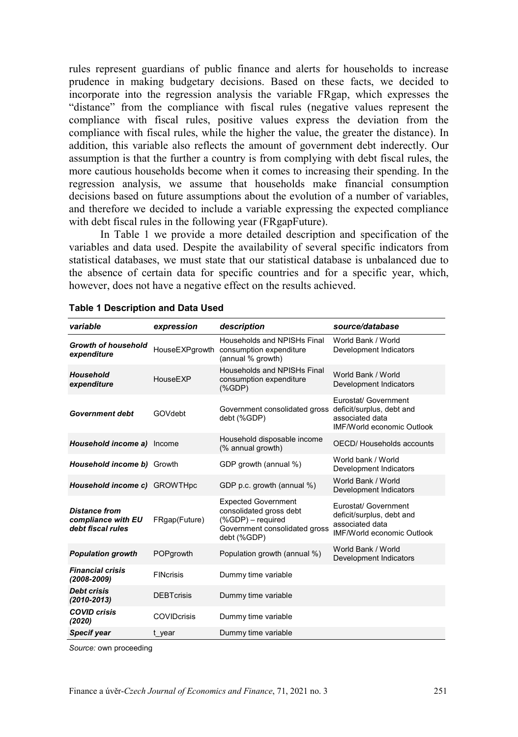rules represent guardians of public finance and alerts for households to increase prudence in making budgetary decisions. Based on these facts, we decided to incorporate into the regression analysis the variable FRgap, which expresses the "distance" from the compliance with fiscal rules (negative values represent the compliance with fiscal rules, positive values express the deviation from the compliance with fiscal rules, while the higher the value, the greater the distance). In addition, this variable also reflects the amount of government debt inderectly. Our assumption is that the further a country is from complying with debt fiscal rules, the more cautious households become when it comes to increasing their spending. In the regression analysis, we assume that households make financial consumption decisions based on future assumptions about the evolution of a number of variables, and therefore we decided to include a variable expressing the expected compliance with debt fiscal rules in the following year (FRgapFuture).

In Table 1 we provide a more detailed description and specification of the variables and data used. Despite the availability of several specific indicators from statistical databases, we must state that our statistical database is unbalanced due to the absence of certain data for specific countries and for a specific year, which, however, does not have a negative effect on the results achieved.

| variable                                                        | expression         | description                                                                                                                | source/database                                                                                           |
|-----------------------------------------------------------------|--------------------|----------------------------------------------------------------------------------------------------------------------------|-----------------------------------------------------------------------------------------------------------|
| Growth of household<br>expenditure                              | HouseEXPgrowth     | Households and NPISHs Final<br>consumption expenditure<br>(annual % growth)                                                | World Bank / World<br>Development Indicators                                                              |
| Household<br>expenditure                                        | HouseEXP           | Households and NPISHs Final<br>consumption expenditure<br>$(% )^{(1,0),(1,0)}$ (%GDP)                                      | World Bank / World<br>Development Indicators                                                              |
| <b>Government debt</b>                                          | GOVdebt            | Government consolidated gross<br>debt (%GDP)                                                                               | Eurostat/ Government<br>deficit/surplus, debt and<br>associated data<br><b>IMF/World economic Outlook</b> |
| Household income a)                                             | Income             | Household disposable income<br>(% annual growth)                                                                           | OECD/Households accounts                                                                                  |
| Household income b)                                             | Growth             | GDP growth (annual %)                                                                                                      | World bank / World<br>Development Indicators                                                              |
| Household income c) GROWTHpc                                    |                    | GDP p.c. growth (annual %)                                                                                                 | World Bank / World<br>Development Indicators                                                              |
| <b>Distance from</b><br>compliance with EU<br>debt fiscal rules | FRgap(Future)      | <b>Expected Government</b><br>consolidated gross debt<br>(%GDP) - required<br>Government consolidated gross<br>debt (%GDP) | Eurostat/ Government<br>deficit/surplus, debt and<br>associated data<br><b>IMF/World economic Outlook</b> |
| <b>Population growth</b>                                        | POPgrowth          | Population growth (annual %)                                                                                               | World Bank / World<br>Development Indicators                                                              |
| <b>Financial crisis</b><br>$(2008 - 2009)$                      | <b>FINCrisis</b>   | Dummy time variable                                                                                                        |                                                                                                           |
| <b>Debt crisis</b><br>$(2010 - 2013)$                           | <b>DEBTcrisis</b>  | Dummy time variable                                                                                                        |                                                                                                           |
| <b>COVID crisis</b><br>(2020)                                   | <b>COVIDcrisis</b> | Dummy time variable                                                                                                        |                                                                                                           |
| <b>Specif year</b>                                              | t year             | Dummy time variable                                                                                                        |                                                                                                           |

|  | <b>Table 1 Description and Data Used</b> |  |  |
|--|------------------------------------------|--|--|
|--|------------------------------------------|--|--|

*Source:* own proceeding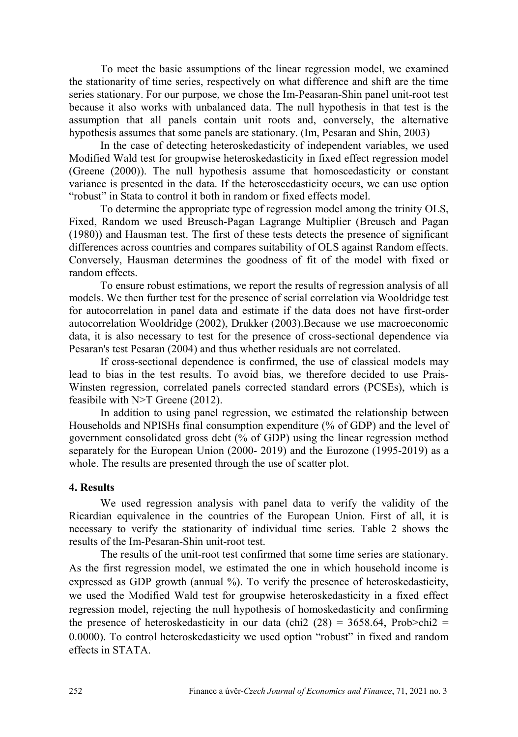To meet the basic assumptions of the linear regression model, we examined the stationarity of time series, respectively on what difference and shift are the time series stationary. For our purpose, we chose the Im-Peasaran-Shin panel unit-root test because it also works with unbalanced data. The null hypothesis in that test is the assumption that all panels contain unit roots and, conversely, the alternative hypothesis assumes that some panels are stationary. (Im, Pesaran and Shin, 2003)

In the case of detecting heteroskedasticity of independent variables, we used Modified Wald test for groupwise heteroskedasticity in fixed effect regression model (Greene (2000)). The null hypothesis assume that homoscedasticity or constant variance is presented in the data. If the heteroscedasticity occurs, we can use option "robust" in Stata to control it both in random or fixed effects model.

To determine the appropriate type of regression model among the trinity OLS, Fixed, Random we used Breusch-Pagan Lagrange Multiplier (Breusch and Pagan (1980)) and Hausman test. The first of these tests detects the presence of significant differences across countries and compares suitability of OLS against Random effects. Conversely, Hausman determines the goodness of fit of the model with fixed or random effects.

To ensure robust estimations, we report the results of regression analysis of all models. We then further test for the presence of serial correlation via Wooldridge test for autocorrelation in panel data and estimate if the data does not have first-order autocorrelation Wooldridge (2002), Drukker (2003).Because we use macroeconomic data, it is also necessary to test for the presence of cross-sectional dependence via Pesaran's test Pesaran (2004) and thus whether residuals are not correlated.

If cross-sectional dependence is confirmed, the use of classical models may lead to bias in the test results. To avoid bias, we therefore decided to use Prais-Winsten regression, correlated panels corrected standard errors (PCSEs), which is feasibile with N>T Greene (2012).

In addition to using panel regression, we estimated the relationship between Households and NPISHs final consumption expenditure (% of GDP) and the level of government consolidated gross debt (% of GDP) using the linear regression method separately for the European Union (2000- 2019) and the Eurozone (1995-2019) as a whole. The results are presented through the use of scatter plot.

## **4. Results**

We used regression analysis with panel data to verify the validity of the Ricardian equivalence in the countries of the European Union. First of all, it is necessary to verify the stationarity of individual time series. Table 2 shows the results of the Im-Pesaran-Shin unit-root test.

The results of the unit-root test confirmed that some time series are stationary. As the first regression model, we estimated the one in which household income is expressed as GDP growth (annual %). To verify the presence of heteroskedasticity, we used the Modified Wald test for groupwise heteroskedasticity in a fixed effect regression model, rejecting the null hypothesis of homoskedasticity and confirming the presence of heteroskedasticity in our data (chi2 (28) =  $3658.64$ , Prob>chi2 = 0.0000). To control heteroskedasticity we used option "robust" in fixed and random effects in STATA.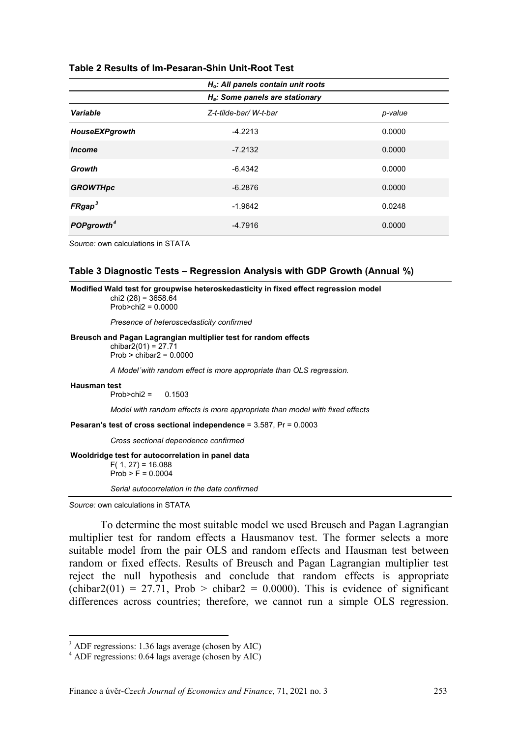|                        | $H_o$ : All panels contain unit roots |         |
|------------------------|---------------------------------------|---------|
|                        | $H_a$ : Some panels are stationary    |         |
| Variable               | Z-t-tilde-bar/W-t-bar                 | p-value |
| HouseEXPgrowth         | $-4.2213$                             | 0.0000  |
| <b>Income</b>          | $-7.2132$                             | 0.0000  |
| Growth                 | $-6.4342$                             | 0.0000  |
| <b>GROWTHpc</b>        | $-6.2876$                             | 0.0000  |
| FRgap <sup>3</sup>     | $-1.9642$                             | 0.0248  |
| POPgrowth <sup>4</sup> | $-4.7916$                             | 0.0000  |

#### **Table 2 Results of Im-Pesaran-Shin Unit-Root Test**

*Source:* own calculations in STATA

#### **Table 3 Diagnostic Tests – Regression Analysis with GDP Growth (Annual %)**

**Modified Wald test for groupwise heteroskedasticity in fixed effect regression model** chi<sub>2</sub> (28) =  $3658.64$  $Prob>chi2 = 0.0000$ *Presence of heteroscedasticity confirmed* **Breusch and Pagan Lagrangian multiplier test for random effects**  $chibar2(01) = 27.71$  $Prob > chibar2 = 0.0000$ *A Model´with random effect is more appropriate than OLS regression.* **Hausman test**  $Prob > chi2 = 0.1503$ *Model with random effects is more appropriate than model with fixed effects* **Pesaran's test of cross sectional independence** = 3.587, Pr = 0.0003 *Cross sectional dependence confirmed* **Wooldridge test for autocorrelation in panel data**  $F( 1, 27) = 16.088$  $Prob > F = 0.0004$ *Serial autocorrelation in the data confirmed*

*Source:* own calculations in STATA

 $\overline{a}$ 

To determine the most suitable model we used Breusch and Pagan Lagrangian multiplier test for random effects a Hausmanov test. The former selects a more suitable model from the pair OLS and random effects and Hausman test between random or fixed effects. Results of Breusch and Pagan Lagrangian multiplier test reject the null hypothesis and conclude that random effects is appropriate (chibar2(01) = 27.71, Prob > chibar2 = 0.0000). This is evidence of significant differences across countries; therefore, we cannot run a simple OLS regression.

<span id="page-8-0"></span><sup>3</sup> ADF regressions: 1.36 lags average (chosen by AIC)

<span id="page-8-1"></span><sup>4</sup> ADF regressions: 0.64 lags average (chosen by AIC)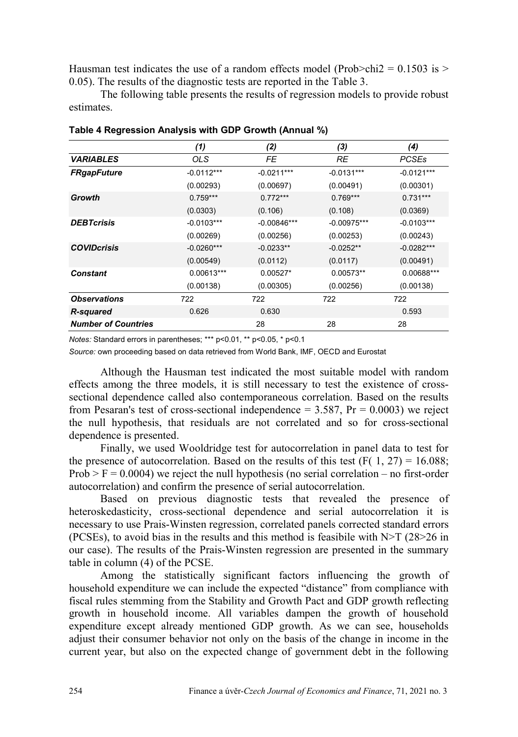Hausman test indicates the use of a random effects model (Prob $>$ chi2 = 0.1503 is  $>$ 0.05). The results of the diagnostic tests are reported in the Table 3.

The following table presents the results of regression models to provide robust estimates.

|                            | (1)          | (2)           | (3)           | (4)          |
|----------------------------|--------------|---------------|---------------|--------------|
| <b><i>VARIABLES</i></b>    | OLS.         | FE            | RE            | <b>PCSEs</b> |
| <b>FRgapFuture</b>         | $-0.0112***$ | $-0.0211***$  | $-0.0131***$  | $-0.0121***$ |
|                            | (0.00293)    | (0.00697)     | (0.00491)     | (0.00301)    |
| Growth                     | $0.759***$   | $0.772***$    | $0.769***$    | $0.731***$   |
|                            | (0.0303)     | (0.106)       | (0.108)       | (0.0369)     |
| <b>DEBTcrisis</b>          | $-0.0103***$ | $-0.00846***$ | $-0.00975***$ | $-0.0103***$ |
|                            | (0.00269)    | (0.00256)     | (0.00253)     | (0.00243)    |
| <b>COVIDcrisis</b>         | $-0.0260***$ | $-0.0233**$   | $-0.0252**$   | $-0.0282***$ |
|                            | (0.00549)    | (0.0112)      | (0.0117)      | (0.00491)    |
| <b>Constant</b>            | 0.00613***   | $0.00527*$    | 0.00573**     | 0.00688***   |
|                            | (0.00138)    | (0.00305)     | (0.00256)     | (0.00138)    |
| <b>Observations</b>        | 722          | 722           | 722           | 722          |
| <b>R-squared</b>           | 0.626        | 0.630         |               | 0.593        |
| <b>Number of Countries</b> |              | 28            | 28            | 28           |

**Table 4 Regression Analysis with GDP Growth (Annual %)**

*Notes:* Standard errors in parentheses; \*\*\* p<0.01, \*\* p<0.05, \* p<0.1

*Source:* own proceeding based on data retrieved from World Bank, IMF, OECD and Eurostat

Although the Hausman test indicated the most suitable model with random effects among the three models, it is still necessary to test the existence of crosssectional dependence called also contemporaneous correlation. Based on the results from Pesaran's test of cross-sectional independence =  $3.587$ , Pr =  $0.0003$ ) we reject the null hypothesis, that residuals are not correlated and so for cross-sectional dependence is presented.

Finally, we used Wooldridge test for autocorrelation in panel data to test for the presence of autocorrelation. Based on the results of this test  $(F(1, 27) = 16.088)$ ;  $Prob > F = 0.0004$ ) we reject the null hypothesis (no serial correlation – no first-order autocorrelation) and confirm the presence of serial autocorrelation.

Based on previous diagnostic tests that revealed the presence of heteroskedasticity, cross-sectional dependence and serial autocorrelation it is necessary to use Prais-Winsten regression, correlated panels corrected standard errors (PCSEs), to avoid bias in the results and this method is feasibile with  $N>T$  (28>26 in our case). The results of the Prais-Winsten regression are presented in the summary table in column (4) of the PCSE.

Among the statistically significant factors influencing the growth of household expenditure we can include the expected "distance" from compliance with fiscal rules stemming from the Stability and Growth Pact and GDP growth reflecting growth in household income. All variables dampen the growth of household expenditure except already mentioned GDP growth. As we can see, households adjust their consumer behavior not only on the basis of the change in income in the current year, but also on the expected change of government debt in the following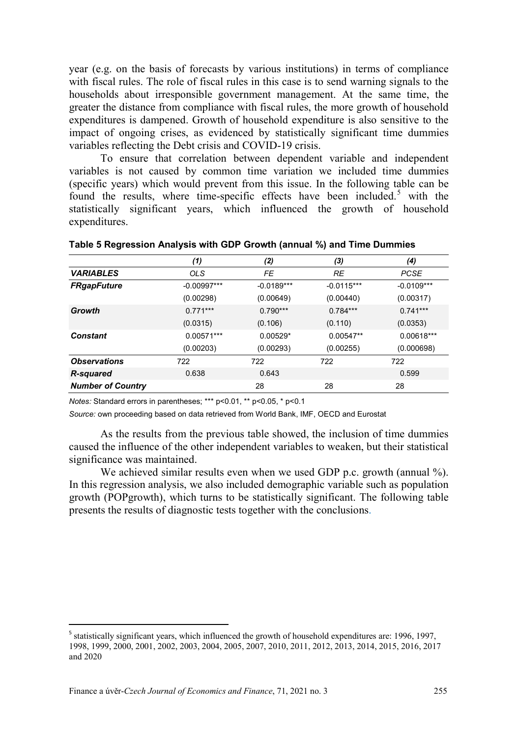year (e.g. on the basis of forecasts by various institutions) in terms of compliance with fiscal rules. The role of fiscal rules in this case is to send warning signals to the households about irresponsible government management. At the same time, the greater the distance from compliance with fiscal rules, the more growth of household expenditures is dampened. Growth of household expenditure is also sensitive to the impact of ongoing crises, as evidenced by statistically significant time dummies variables reflecting the Debt crisis and COVID-19 crisis.

To ensure that correlation between dependent variable and independent variables is not caused by common time variation we included time dummies (specific years) which would prevent from this issue. In the following table can be found the results, where time-specific effects have been included.<sup>[5](#page-10-0)</sup> with the statistically significant years, which influenced the growth of household expenditures.

|                          | (1)           | (2)          | (3)          | (4)          |
|--------------------------|---------------|--------------|--------------|--------------|
| <b><i>VARIABLES</i></b>  | <b>OLS</b>    | <b>FE</b>    | <b>RE</b>    | <b>PCSE</b>  |
| <b>FRgapFuture</b>       | $-0.00997***$ | $-0.0189***$ | $-0.0115***$ | $-0.0109***$ |
|                          | (0.00298)     | (0.00649)    | (0.00440)    | (0.00317)    |
| Growth                   | $0.771***$    | $0.790***$   | $0.784***$   | $0.741***$   |
|                          | (0.0315)      | (0.106)      | (0.110)      | (0.0353)     |
| Constant                 | $0.00571***$  | $0.00529*$   | $0.00547**$  | $0.00618***$ |
|                          | (0.00203)     | (0.00293)    | (0.00255)    | (0.000698)   |
| <b>Observations</b>      | 722           | 722          | 722          | 722          |
| R-squared                | 0.638         | 0.643        |              | 0.599        |
| <b>Number of Country</b> |               | 28           | 28           | 28           |

**Table 5 Regression Analysis with GDP Growth (annual %) and Time Dummies**

*Notes:* Standard errors in parentheses; \*\*\* p<0.01, \*\* p<0.05, \* p<0.1

*Source:* own proceeding based on data retrieved from World Bank, IMF, OECD and Eurostat

As the results from the previous table showed, the inclusion of time dummies caused the influence of the other independent variables to weaken, but their statistical significance was maintained.

We achieved similar results even when we used GDP p.c. growth (annual %). In this regression analysis, we also included demographic variable such as population growth (POPgrowth), which turns to be statistically significant. The following table presents the results of diagnostic tests together with the conclusions.

<span id="page-10-0"></span><sup>&</sup>lt;sup>5</sup> statistically significant years, which influenced the growth of household expenditures are: 1996, 1997, 1998, 1999, 2000, 2001, 2002, 2003, 2004, 2005, 2007, 2010, 2011, 2012, 2013, 2014, 2015, 2016, 2017 and 2020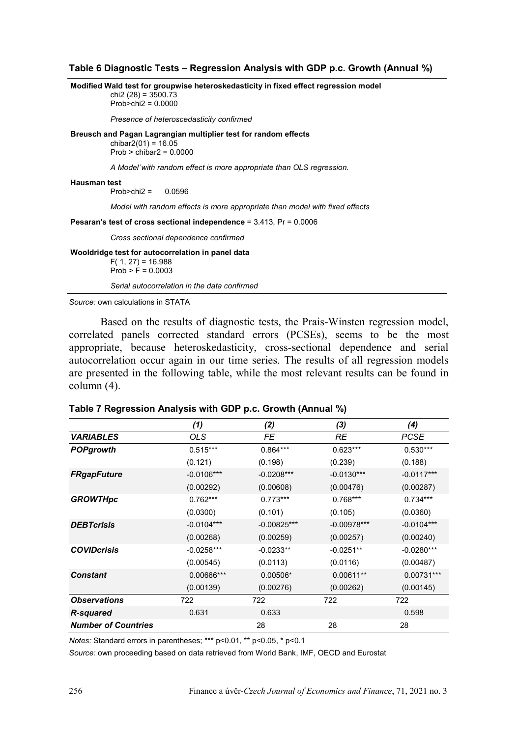#### **Table 6 Diagnostic Tests – Regression Analysis with GDP p.c. Growth (Annual %)**

**Modified Wald test for groupwise heteroskedasticity in fixed effect regression model** chi<sub>2</sub> (28) =  $3500.73$  $Prob > chi2 = 0.0000$ *Presence of heteroscedasticity confirmed* **Breusch and Pagan Lagrangian multiplier test for random effects** chibar $2(01) = 16.05$  $Prob > chibar2 = 0.0000$ *A Model´with random effect is more appropriate than OLS regression.* **Hausman test** Prob>chi2 = 0.0596 *Model with random effects is more appropriate than model with fixed effects* **Pesaran's test of cross sectional independence** = 3.413, Pr = 0.0006 *Cross sectional dependence confirmed* **Wooldridge test for autocorrelation in panel data**  $F( 1, 27) = 16.988$  $Prob > F = 0.0003$ *Serial autocorrelation in the data confirmed*

*Source:* own calculations in STATA

Based on the results of diagnostic tests, the Prais-Winsten regression model, correlated panels corrected standard errors (PCSEs), seems to be the most appropriate, because heteroskedasticity, cross-sectional dependence and serial autocorrelation occur again in our time series. The results of all regression models are presented in the following table, while the most relevant results can be found in column (4).

|                            | (1)          | (2)           | (3)           | (4)          |
|----------------------------|--------------|---------------|---------------|--------------|
| <b><i>VARIABLES</i></b>    | <b>OLS</b>   | FE            | <b>RE</b>     | <b>PCSE</b>  |
| <b>POPgrowth</b>           | $0.515***$   | $0.864***$    | $0.623***$    | $0.530***$   |
|                            | (0.121)      | (0.198)       | (0.239)       | (0.188)      |
| <b>FRgapFuture</b>         | $-0.0106***$ | $-0.0208***$  | $-0.0130***$  | $-0.0117***$ |
|                            | (0.00292)    | (0.00608)     | (0.00476)     | (0.00287)    |
| <b>GROWTHpc</b>            | $0.762***$   | $0.773***$    | $0.768***$    | $0.734***$   |
|                            | (0.0300)     | (0.101)       | (0.105)       | (0.0360)     |
| <b>DEBTcrisis</b>          | $-0.0104***$ | $-0.00825***$ | $-0.00978***$ | $-0.0104***$ |
|                            | (0.00268)    | (0.00259)     | (0.00257)     | (0.00240)    |
| <b>COVIDcrisis</b>         | $-0.0258***$ | $-0.0233**$   | $-0.0251**$   | $-0.0280***$ |
|                            | (0.00545)    | (0.0113)      | (0.0116)      | (0.00487)    |
| <b>Constant</b>            | 0.00666***   | 0.00506*      | $0.00611**$   | 0.00731***   |
|                            | (0.00139)    | (0.00276)     | (0.00262)     | (0.00145)    |
| <b>Observations</b>        | 722          | 722           | 722           | 722          |
| <b>R-squared</b>           | 0.631        | 0.633         |               | 0.598        |
| <b>Number of Countries</b> |              | 28            | 28            | 28           |

| Table 7 Regression Analysis with GDP p.c. Growth (Annual %) |  |  |  |  |  |
|-------------------------------------------------------------|--|--|--|--|--|
|-------------------------------------------------------------|--|--|--|--|--|

*Notes:* Standard errors in parentheses; \*\*\* p<0.01, \*\* p<0.05, \* p<0.1

*Source:* own proceeding based on data retrieved from World Bank, IMF, OECD and Eurostat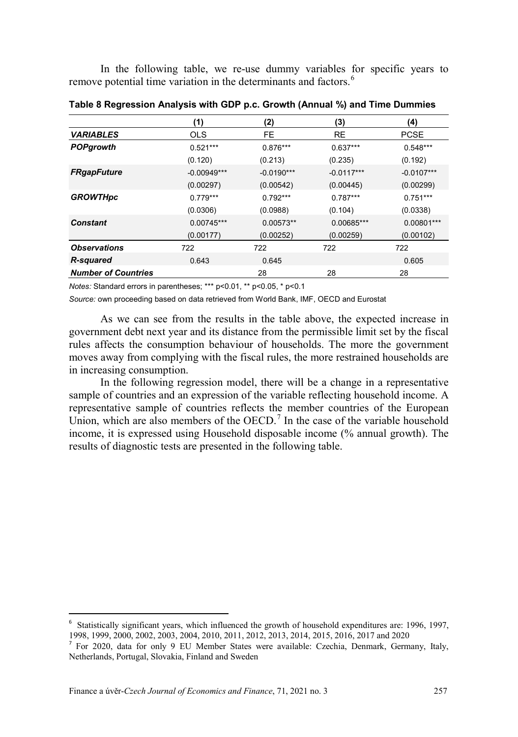In the following table, we re-use dummy variables for specific years to remove potential time variation in the determinants and factors.<sup>[6](#page-12-0)</sup>

|                            | (1)           | (2)          | (3)          | (4)          |
|----------------------------|---------------|--------------|--------------|--------------|
| <b><i>VARIABLES</i></b>    | <b>OLS</b>    | <b>FE</b>    | <b>RE</b>    | <b>PCSE</b>  |
| <b>POPgrowth</b>           | $0.521***$    | $0.876***$   | $0.637***$   | $0.548***$   |
|                            | (0.120)       | (0.213)      | (0.235)      | (0.192)      |
| <b>FRgapFuture</b>         | $-0.00949***$ | $-0.0190***$ | $-0.0117***$ | $-0.0107***$ |
|                            | (0.00297)     | (0.00542)    | (0.00445)    | (0.00299)    |
| <b>GROWTHpc</b>            | $0.779***$    | $0.792***$   | $0.787***$   | $0.751***$   |
|                            | (0.0306)      | (0.0988)     | (0.104)      | (0.0338)     |
| <b>Constant</b>            | $0.00745***$  | $0.00573**$  | 0.00685***   | $0.00801***$ |
|                            | (0.00177)     | (0.00252)    | (0.00259)    | (0.00102)    |
| <b>Observations</b>        | 722           | 722          | 722          | 722          |
| <b>R-squared</b>           | 0.643         | 0.645        |              | 0.605        |
| <b>Number of Countries</b> |               | 28           | 28           | 28           |

**Table 8 Regression Analysis with GDP p.c. Growth (Annual %) and Time Dummies**

*Notes:* Standard errors in parentheses; \*\*\* p<0.01, \*\* p<0.05, \* p<0.1

*Source:* own proceeding based on data retrieved from World Bank, IMF, OECD and Eurostat

As we can see from the results in the table above, the expected increase in government debt next year and its distance from the permissible limit set by the fiscal rules affects the consumption behaviour of households. The more the government moves away from complying with the fiscal rules, the more restrained households are in increasing consumption.

In the following regression model, there will be a change in a representative sample of countries and an expression of the variable reflecting household income. A representative sample of countries reflects the member countries of the European Union, which are also members of the OECD.<sup>[7](#page-12-1)</sup> In the case of the variable household income, it is expressed using Household disposable income (% annual growth). The results of diagnostic tests are presented in the following table.

<span id="page-12-0"></span><sup>-&</sup>lt;br>6 Statistically significant years, which influenced the growth of household expenditures are: 1996, 1997, 1998, 1999, 2000, 2002, 2003, 2004, 2010, 2011, 2012, 2013, 2014, 2015, 2016, 2017 and 2020

<span id="page-12-1"></span><sup>&</sup>lt;sup>7</sup> For 2020, data for only 9 EU Member States were available: Czechia, Denmark, Germany, Italy, Netherlands, Portugal, Slovakia, Finland and Sweden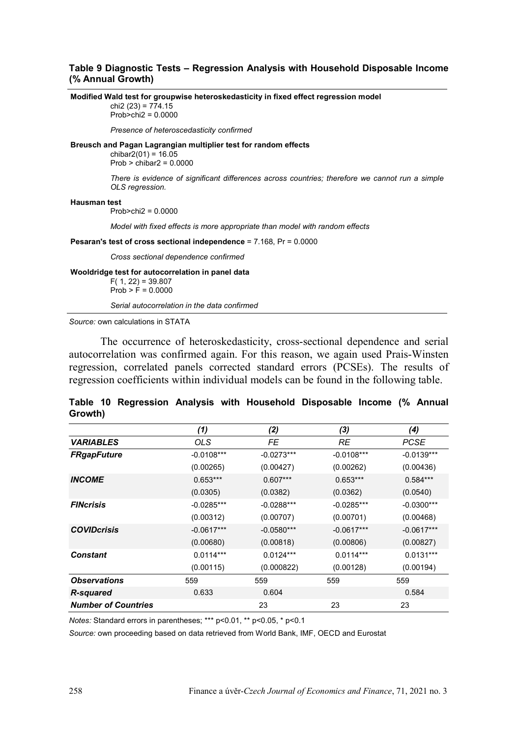### **Table 9 Diagnostic Tests – Regression Analysis with Household Disposable Income (% Annual Growth)**

**Modified Wald test for groupwise heteroskedasticity in fixed effect regression model** chi<sub>2</sub> (23) =  $774.15$ Prob>chi2 = 0.0000 *Presence of heteroscedasticity confirmed* **Breusch and Pagan Lagrangian multiplier test for random effects** chibar $2(01) = 16.05$  $Prob > c<sub>th</sub>$ ibar $2 = 0.0000$ *There is evidence of significant differences across countries; therefore we cannot run a simple OLS regression.* **Hausman test** Prob>chi2 = 0.0000 *Model with fixed effects is more appropriate than model with random effects* **Pesaran's test of cross sectional independence** = 7.168, Pr = 0.0000 *Cross sectional dependence confirmed* **Wooldridge test for autocorrelation in panel data**  $F( 1, 22) = 39.807$  $Prob > F = 0.0000$ *Serial autocorrelation in the data confirmed Source:* own calculations in STATA

The occurrence of heteroskedasticity, cross-sectional dependence and serial autocorrelation was confirmed again. For this reason, we again used Prais-Winsten regression, correlated panels corrected standard errors (PCSEs). The results of regression coefficients within individual models can be found in the following table.

|         | Table 10 Regression Analysis with Household Disposable Income (% Annual |  |  |  |  |
|---------|-------------------------------------------------------------------------|--|--|--|--|
| Growth) |                                                                         |  |  |  |  |

|                            | (1)          | (2)          | (3)          | (4)          |
|----------------------------|--------------|--------------|--------------|--------------|
| <b><i>VARIABLES</i></b>    | OLS.         | FE           | RE           | <b>PCSE</b>  |
| <b>FRgapFuture</b>         | $-0.0108***$ | $-0.0273***$ | $-0.0108***$ | $-0.0139***$ |
|                            | (0.00265)    | (0.00427)    | (0.00262)    | (0.00436)    |
| <b>INCOME</b>              | $0.653***$   | $0.607***$   | $0.653***$   | $0.584***$   |
|                            | (0.0305)     | (0.0382)     | (0.0362)     | (0.0540)     |
| <b>FINcrisis</b>           | $-0.0285***$ | $-0.0288***$ | $-0.0285***$ | $-0.0300***$ |
|                            | (0.00312)    | (0.00707)    | (0.00701)    | (0.00468)    |
| <b>COVIDcrisis</b>         | $-0.0617***$ | $-0.0580***$ | $-0.0617***$ | $-0.0617***$ |
|                            | (0.00680)    | (0.00818)    | (0.00806)    | (0.00827)    |
| Constant                   | $0.0114***$  | $0.0124***$  | $0.0114***$  | $0.0131***$  |
|                            | (0.00115)    | (0.000822)   | (0.00128)    | (0.00194)    |
| <b>Observations</b>        | 559          | 559          | 559          | 559          |
| <b>R-squared</b>           | 0.633        | 0.604        |              | 0.584        |
| <b>Number of Countries</b> |              | 23           | 23           | 23           |

*Notes:* Standard errors in parentheses; \*\*\* p<0.01, \*\* p<0.05, \* p<0.1

*Source:* own proceeding based on data retrieved from World Bank, IMF, OECD and Eurostat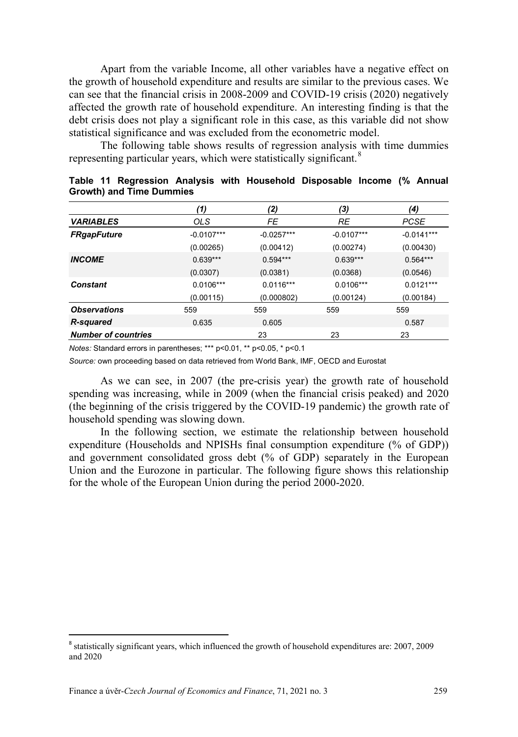Apart from the variable Income, all other variables have a negative effect on the growth of household expenditure and results are similar to the previous cases. We can see that the financial crisis in 2008-2009 and COVID-19 crisis (2020) negatively affected the growth rate of household expenditure. An interesting finding is that the debt crisis does not play a significant role in this case, as this variable did not show statistical significance and was excluded from the econometric model.

The following table shows results of regression analysis with time dummies representing particular years, which were statistically significant.<sup>[8](#page-14-0)</sup>

|                            | (1)          | (2)          | (3)          | (4)          |
|----------------------------|--------------|--------------|--------------|--------------|
| <b>VARIABLES</b>           | <b>OLS</b>   | FE           | RE           | <b>PCSE</b>  |
| <b>FRgapFuture</b>         | $-0.0107***$ | $-0.0257***$ | $-0.0107***$ | $-0.0141***$ |
|                            | (0.00265)    | (0.00412)    | (0.00274)    | (0.00430)    |
| <b>INCOME</b>              | $0.639***$   | $0.594***$   | $0.639***$   | $0.564***$   |
|                            | (0.0307)     | (0.0381)     | (0.0368)     | (0.0546)     |
| Constant                   | $0.0106***$  | $0.0116***$  | $0.0106***$  | $0.0121***$  |
|                            | (0.00115)    | (0.000802)   | (0.00124)    | (0.00184)    |
| <b>Observations</b>        | 559          | 559          | 559          | 559          |
| <b>R-squared</b>           | 0.635        | 0.605        |              | 0.587        |
| <b>Number of countries</b> |              | 23           | 23           | 23           |

|  | Table 11 Regression Analysis with Household Disposable Income (% Annual |  |  |  |  |
|--|-------------------------------------------------------------------------|--|--|--|--|
|  | Growth) and Time Dummies                                                |  |  |  |  |

*Notes:* Standard errors in parentheses; \*\*\* p<0.01, \*\* p<0.05, \* p<0.1

*Source:* own proceeding based on data retrieved from World Bank, IMF, OECD and Eurostat

As we can see, in 2007 (the pre-crisis year) the growth rate of household spending was increasing, while in 2009 (when the financial crisis peaked) and 2020 (the beginning of the crisis triggered by the COVID-19 pandemic) the growth rate of household spending was slowing down.

In the following section, we estimate the relationship between household expenditure (Households and NPISHs final consumption expenditure (% of GDP)) and government consolidated gross debt (% of GDP) separately in the European Union and the Eurozone in particular. The following figure shows this relationship for the whole of the European Union during the period 2000-2020.

<span id="page-14-0"></span> <sup>8</sup> statistically significant years, which influenced the growth of household expenditures are: 2007, 2009 and 2020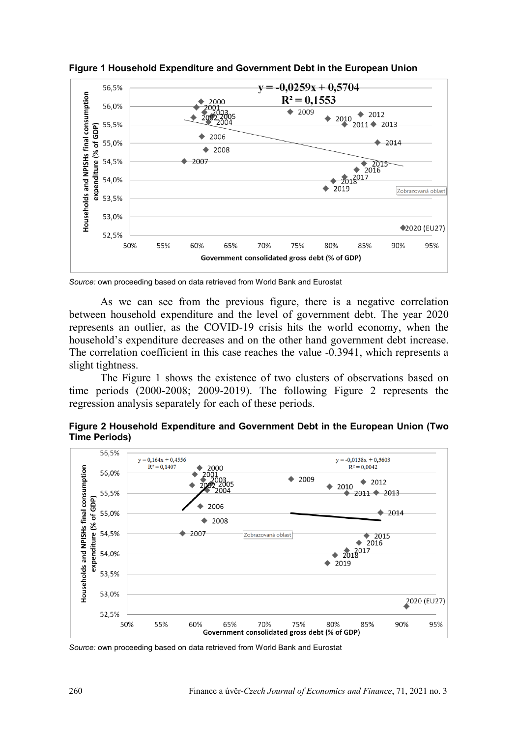

**Figure 1 Household Expenditure and Government Debt in the European Union**

*Source:* own proceeding based on data retrieved from World Bank and Eurostat

As we can see from the previous figure, there is a negative correlation between household expenditure and the level of government debt. The year 2020 represents an outlier, as the COVID-19 crisis hits the world economy, when the household's expenditure decreases and on the other hand government debt increase. The correlation coefficient in this case reaches the value -0.3941, which represents a slight tightness.

The Figure 1 shows the existence of two clusters of observations based on time periods (2000-2008; 2009-2019). The following Figure 2 represents the regression analysis separately for each of these periods.





*Source:* own proceeding based on data retrieved from World Bank and Eurostat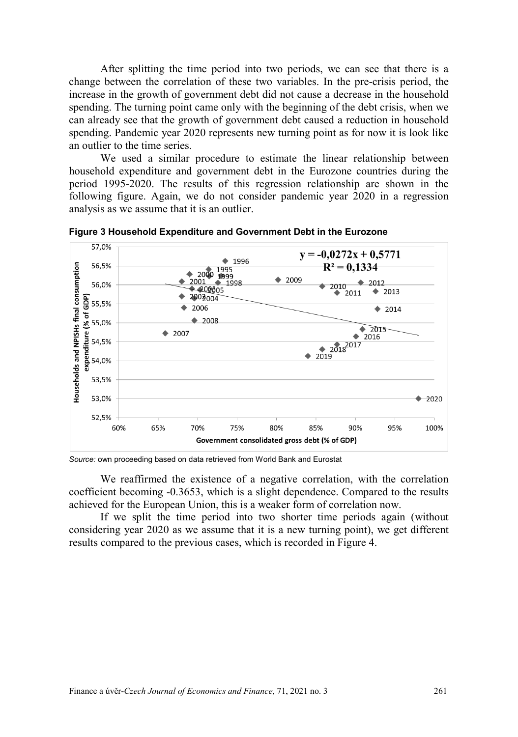After splitting the time period into two periods, we can see that there is a change between the correlation of these two variables. In the pre-crisis period, the increase in the growth of government debt did not cause a decrease in the household spending. The turning point came only with the beginning of the debt crisis, when we can already see that the growth of government debt caused a reduction in household spending. Pandemic year 2020 represents new turning point as for now it is look like an outlier to the time series.

We used a similar procedure to estimate the linear relationship between household expenditure and government debt in the Eurozone countries during the period 1995-2020. The results of this regression relationship are shown in the following figure. Again, we do not consider pandemic year 2020 in a regression analysis as we assume that it is an outlier.



**Figure 3 Household Expenditure and Government Debt in the Eurozone**

*Source:* own proceeding based on data retrieved from World Bank and Eurostat

We reaffirmed the existence of a negative correlation, with the correlation coefficient becoming -0.3653, which is a slight dependence. Compared to the results achieved for the European Union, this is a weaker form of correlation now.

If we split the time period into two shorter time periods again (without considering year 2020 as we assume that it is a new turning point), we get different results compared to the previous cases, which is recorded in Figure 4.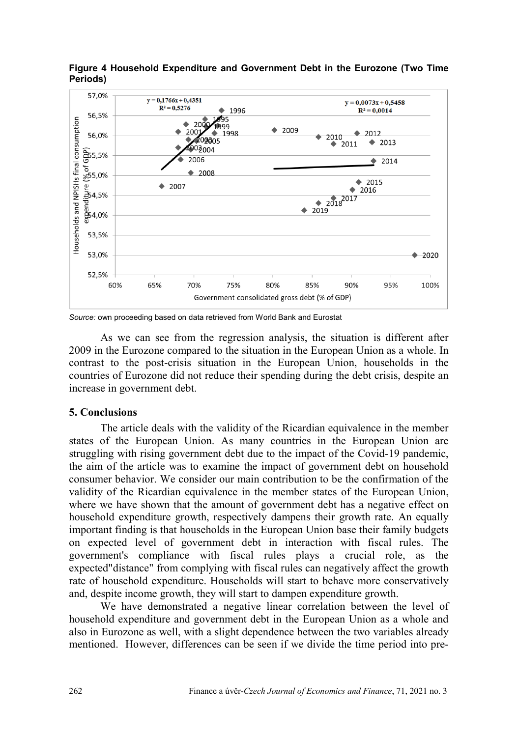

**Figure 4 Household Expenditure and Government Debt in the Eurozone (Two Time Periods)**

*Source:* own proceeding based on data retrieved from World Bank and Eurostat

As we can see from the regression analysis, the situation is different after 2009 in the Eurozone compared to the situation in the European Union as a whole. In contrast to the post-crisis situation in the European Union, households in the countries of Eurozone did not reduce their spending during the debt crisis, despite an increase in government debt.

## **5. Conclusions**

The article deals with the validity of the Ricardian equivalence in the member states of the European Union. As many countries in the European Union are struggling with rising government debt due to the impact of the Covid-19 pandemic, the aim of the article was to examine the impact of government debt on household consumer behavior. We consider our main contribution to be the confirmation of the validity of the Ricardian equivalence in the member states of the European Union, where we have shown that the amount of government debt has a negative effect on household expenditure growth, respectively dampens their growth rate. An equally important finding is that households in the European Union base their family budgets on expected level of government debt in interaction with fiscal rules. The government's compliance with fiscal rules plays a crucial role, as the expected"distance" from complying with fiscal rules can negatively affect the growth rate of household expenditure. Households will start to behave more conservatively and, despite income growth, they will start to dampen expenditure growth.

We have demonstrated a negative linear correlation between the level of household expenditure and government debt in the European Union as a whole and also in Eurozone as well, with a slight dependence between the two variables already mentioned. However, differences can be seen if we divide the time period into pre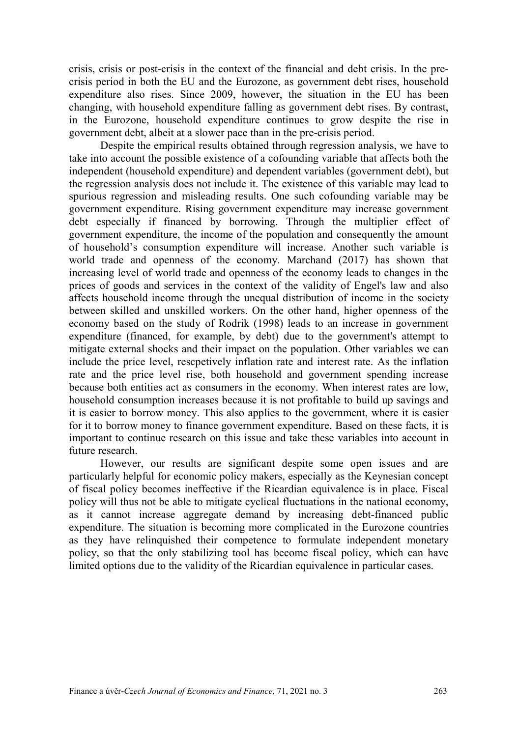crisis, crisis or post-crisis in the context of the financial and debt crisis. In the precrisis period in both the EU and the Eurozone, as government debt rises, household expenditure also rises. Since 2009, however, the situation in the EU has been changing, with household expenditure falling as government debt rises. By contrast, in the Eurozone, household expenditure continues to grow despite the rise in government debt, albeit at a slower pace than in the pre-crisis period.

Despite the empirical results obtained through regression analysis, we have to take into account the possible existence of a cofounding variable that affects both the independent (household expenditure) and dependent variables (government debt), but the regression analysis does not include it. The existence of this variable may lead to spurious regression and misleading results. One such cofounding variable may be government expenditure. Rising government expenditure may increase government debt especially if financed by borrowing. Through the multiplier effect of government expenditure, the income of the population and consequently the amount of household's consumption expenditure will increase. Another such variable is world trade and openness of the economy. Marchand (2017) has shown that increasing level of world trade and openness of the economy leads to changes in the prices of goods and services in the context of the validity of Engel's law and also affects household income through the unequal distribution of income in the society between skilled and unskilled workers. On the other hand, higher openness of the economy based on the study of Rodrik (1998) leads to an increase in government expenditure (financed, for example, by debt) due to the government's attempt to mitigate external shocks and their impact on the population. Other variables we can include the price level, rescpetively inflation rate and interest rate. As the inflation rate and the price level rise, both household and government spending increase because both entities act as consumers in the economy. When interest rates are low, household consumption increases because it is not profitable to build up savings and it is easier to borrow money. This also applies to the government, where it is easier for it to borrow money to finance government expenditure. Based on these facts, it is important to continue research on this issue and take these variables into account in future research.

However, our results are significant despite some open issues and are particularly helpful for economic policy makers, especially as the Keynesian concept of fiscal policy becomes ineffective if the Ricardian equivalence is in place. Fiscal policy will thus not be able to mitigate cyclical fluctuations in the national economy, as it cannot increase aggregate demand by increasing debt-financed public expenditure. The situation is becoming more complicated in the Eurozone countries as they have relinquished their competence to formulate independent monetary policy, so that the only stabilizing tool has become fiscal policy, which can have limited options due to the validity of the Ricardian equivalence in particular cases.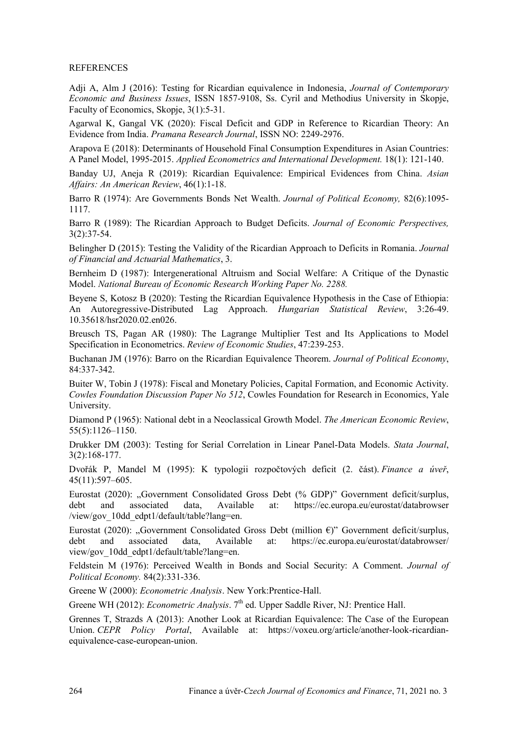#### **REFERENCES**

Adji A, Alm J (2016): Testing for Ricardian equivalence in Indonesia, *Journal of Contemporary Economic and Business Issues*, ISSN 1857-9108, Ss. Cyril and Methodius University in Skopje, Faculty of Economics, Skopje, 3(1):5-31.

Agarwal K, Gangal VK (2020): Fiscal Deficit and GDP in Reference to Ricardian Theory: An Evidence from India. *Pramana Research Journal*, ISSN NO: 2249-2976.

Arapova E (2018): Determinants of Household Final Consumption Expenditures in Asian Countries: A Panel Model, 1995-2015. *Applied Econometrics and International Development.* 18(1): 121-140.

Banday UJ, Aneja R (2019): Ricardian Equivalence: Empirical Evidences from China. *Asian Affairs: An American Review*, 46(1):1-18.

Barro R (1974): Are Governments Bonds Net Wealth. *Journal of Political Economy,* 82(6):1095- 1117.

Barro R (1989): The Ricardian Approach to Budget Deficits. *Journal of Economic Perspectives,*  3(2):37-54.

Belingher D (2015): Testing the Validity of the Ricardian Approach to Deficits in Romania. *Journal of Financial and Actuarial Mathematics*, 3.

Bernheim D (1987): Intergenerational Altruism and Social Welfare: A Critique of the Dynastic Model. *National Bureau of Economic Research Working Paper No. 2288.*

Beyene S, Kotosz B (2020): Testing the Ricardian Equivalence Hypothesis in the Case of Ethiopia: An Autoregressive-Distributed Lag Approach. *Hungarian Statistical Review*, 3:26-49. 10.35618/hsr2020.02.en026.

Breusch TS, Pagan AR (1980): The Lagrange Multiplier Test and Its Applications to Model Specification in Econometrics. *Review of Economic Studies*, 47:239-253.

Buchanan JM (1976): Barro on the Ricardian Equivalence Theorem. *Journal of Political Economy*, 84:337-342.

Buiter W, Tobin J (1978): Fiscal and Monetary Policies, Capital Formation, and Economic Activity. *Cowles Foundation Discussion Paper No 512*, Cowles Foundation for Research in Economics, Yale University.

Diamond P (1965): National debt in a Neoclassical Growth Model. *The American Economic Review*, 55(5):1126–1150.

Drukker DM (2003): Testing for Serial Correlation in Linear Panel-Data Models. *Stata Journal*, 3(2):168-177.

Dvořák P, Mandel M (1995): K typologii rozpočtových deficit (2. část). *Finance a úveř*, 45(11):597–605.

Eurostat (2020): "Government Consolidated Gross Debt (% GDP)" Government deficit/surplus, debt and associated data, Available at: https://ec.europa.eu/eurostat/databrowser and associated data, Available at: [https://ec.europa.eu/eurostat/d](https://ec.europa.eu/eurostat/)atabrowser /view/gov\_10dd\_edpt1/default/table?lang=en.

Eurostat (2020): "Government Consolidated Gross Debt (million  $\epsilon$ )" Government deficit/surplus, debt and associated data, Available at: https://ec.europa.eu/eurostat/databrowser/ debt and associated data, Available at: [https://ec.europa.eu/eurostat/d](https://ec.europa.eu/eurostat/)atabrowser/ view/gov\_10dd\_edpt1/default/table?lang=en.

Feldstein M (1976): Perceived Wealth in Bonds and Social Security: A Comment. *Journal of Political Economy.* 84(2):331-336.

Greene W (2000): *Econometric Analysis*. New York:Prentice-Hall.

Greene WH (2012): *Econometric Analysis*. 7<sup>th</sup> ed. Upper Saddle River, NJ: Prentice Hall.

Grennes T, Strazds A (2013): Another Look at Ricardian Equivalence: The Case of the European Union. *CEPR Policy Portal*, Available at: [https://voxeu.org/article/another](https://voxeu.org/article/another-look-ricardian-equivalence-case-european-union)-look-ricardian[equivalence](https://voxeu.org/article/another-look-ricardian-equivalence-case-european-union)-case-european-union.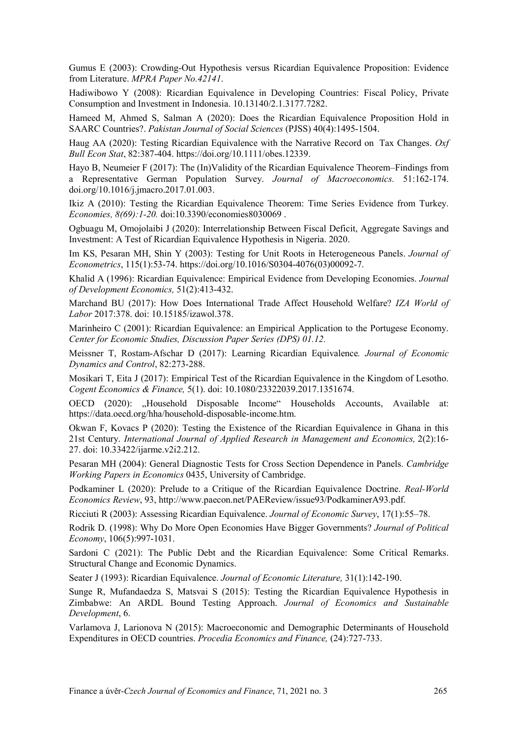Gumus E (2003): Crowding-Out Hypothesis versus Ricardian Equivalence Proposition: Evidence from Literature. *MPRA Paper No.42141*.

Hadiwibowo Y (2008): Ricardian Equivalence in Developing Countries: Fiscal Policy, Private Consumption and Investment in Indonesia. 10.13140/2.1.3177.7282.

Hameed M, Ahmed S, Salman A (2020): Does the Ricardian Equivalence Proposition Hold in SAARC Countries?. *Pakistan Journal of Social Sciences* (PJSS) 40(4):1495-1504.

Haug AA (2020): Testing Ricardian Equivalence with the Narrative Record on Tax Changes. *Oxf Bull Econ Stat*, 82:387-404. <https://doi.org/10.1111/obes.12339>.

Hayo B, Neumeier F (2017): The (In)Validity of the Ricardian Equivalence Theorem–Findings from a Representative German Population Survey. *Journal of Macroeconomics.* 51:162-174. doi.org/10.1016/j.jmacro.2017.01.003.

Ikiz A (2010): Testing the Ricardian Equivalence Theorem: Time Series Evidence from Turkey. *Economies, 8(69):1-20.* doi:10.3390/economies8030069 .

Ogbuagu M, Omojolaibi J (2020): Interrelationship Between Fiscal Deficit, Aggregate Savings and Investment: A Test of Ricardian Equivalence Hypothesis in Nigeria. 2020.

Im KS, Pesaran MH, Shin Y (2003): Testing for Unit Roots in Heterogeneous Panels. *Journal of Econometrics*, 115(1):53-74. https://doi.org/10.1016/S0304-4076(03)00092-7.

Khalid A (1996): Ricardian Equivalence: Empirical Evidence from Developing Economies. *[Journal](https://ideas.repec.org/s/eee/deveco.html)  [of Development Economics,](https://ideas.repec.org/s/eee/deveco.html)* 51(2):413-432.

Marchand BU (2017): How Does International Trade Affect Household Welfare? *IZA World of Labor* 2017:378. doi: 10.15185/izawol.378.

Marinheiro C (2001): Ricardian Equivalence: an Empirical Application to the Portugese Economy. *Center for Economic Studies, Discussion Paper Series (DPS) 01.12.*

Meissner T, Rostam-Afschar D (2017): Learning Ricardian Equivalence*. Journal of Economic Dynamics and Control*, 82:273-288.

Mosikari T, Eita J (2017): Empirical Test of the Ricardian Equivalence in the Kingdom of Lesotho. *Cogent Economics & Finance,* 5(1). doi: [10.1080/23322039.2017.1351674](https://doi.org/10.1080/23322039.2017.1351674).

OECD (2020): "Household Disposable Income" Households Accounts, Available at: [https://data.oecd.org/hha/household](https://data.oecd.org/hha/household-disposable-income.htm)-disposable-income.htm.

Okwan F, Kovacs P (2020): Testing the Existence of the Ricardian Equivalence in Ghana in this 21st Century. *International Journal of Applied Research in Management and Economics,* 2(2):16- 27. doi[: 10.33422/ijarme.v2i2.212](https://www.researchgate.net/deref/http%3A%2F%2Fdx.doi.org%2F10.33422%2Fijarme.v2i2.212?_sg%5B0%5D=a2LLO7PYz43cfoA7wvmx1MTel7U6PdUeGxf3Z3AEofush7WvVIdzoo8p3hltVYQkWh3LAYCYR_PaVPNMq0YSx-h3Pg.oHG61Tg3XlBPxGvIdfryDKCUBfDBgk5gkXYljQA_CPxBXYNtpRJje5KOyW6GSmhqtYmXWfgArS9sc8xWJaXC2g).

Pesaran MH (2004): General Diagnostic Tests for Cross Section Dependence in Panels. *Cambridge Working Papers in Economics* 0435, University of Cambridge.

Podkaminer L (2020): Prelude to a Critique of the Ricardian Equivalence Doctrine. *Real-World Economics Review*, 93, http://www.paecon.net/PAEReview/issue93/PodkaminerA93.pdf.

Ricciuti R (2003): Assessing Ricardian Equivalence. *Journal of Economic Survey*, 17(1):55–78.

Rodrik D. (1998): Why Do More Open Economies Have Bigger Governments? *Journal of Political Economy*, 106(5):997-1031.

Sardoni C (2021): The Public Debt and the Ricardian Equivalence: Some Critical Remarks. Structural Change and Economic Dynamics.

Seater J (1993): Ricardian Equivalence. *Journal of Economic Literature,* 31(1):142-190.

Sunge R, Mufandaedza S, Matsvai S (2015): Testing the Ricardian Equivalence Hypothesis in Zimbabwe: An ARDL Bound Testing Approach. *Journal of Economics and Sustainable Development*, 6.

Varlamova J, Larionova N (2015): Macroeconomic and Demographic Determinants of Household Expenditures in OECD countries. *Procedia Economics and Finance,* (24):727-733.